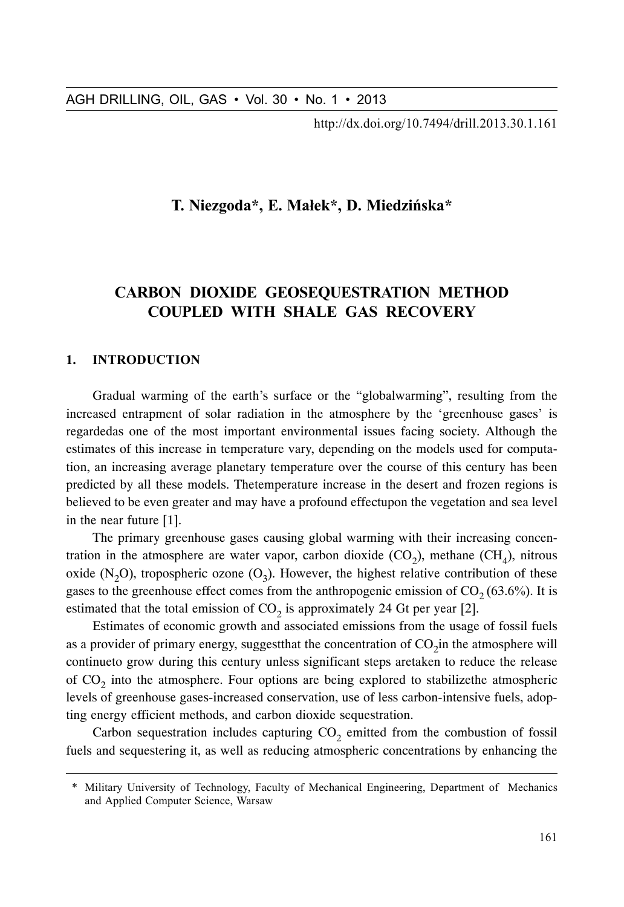http://dx.doi.org/10.7494/drill.2013.30.1.161

# T. Niezgoda\*, E. Małek\*, D. Miedzińska\*

# CARBON DIOXIDE GEOSEQUESTRATION METHOD COUPLED WITH SHALE GAS RECOVERY

## 1. INTRODUCTION

Gradual warming of the earth's surface or the "globalwarming", resulting from the increased entrapment of solar radiation in the atmosphere by the 'greenhouse gases' is regardedas one of the most important environmental issues facing society. Although the estimates of this increase in temperature vary, depending on the models used for computation, an increasing average planetary temperature over the course of this century has been predicted by all these models. Thetemperature increase in the desert and frozen regions is believed to be even greater and may have a profound effectupon the vegetation and sea level in the near future [1].

The primary greenhouse gases causing global warming with their increasing concentration in the atmosphere are water vapor, carbon dioxide  $(CO<sub>2</sub>)$ , methane  $(CH<sub>4</sub>)$ , nitrous oxide (N<sub>2</sub>O), tropospheric ozone (O<sub>3</sub>). However, the highest relative contribution of these gases to the greenhouse effect comes from the anthropogenic emission of  $CO<sub>2</sub> (63.6%)$ . It is estimated that the total emission of  $CO<sub>2</sub>$  is approximately 24 Gt per year [2].

Estimates of economic growth and associated emissions from the usage of fossil fuels as a provider of primary energy, suggest that the concentration of  $CO<sub>2</sub>$  in the atmosphere will continueto grow during this century unless significant steps aretaken to reduce the release of  $CO<sub>2</sub>$  into the atmosphere. Four options are being explored to stabilizethe atmospheric levels of greenhouse gases-increased conservation, use of less carbon-intensive fuels, adopting energy efficient methods, and carbon dioxide sequestration.

Carbon sequestration includes capturing  $CO<sub>2</sub>$  emitted from the combustion of fossil fuels and sequestering it, as well as reducing atmospheric concentrations by enhancing the

<sup>\*</sup> Military University of Technology, Faculty of Mechanical Engineering, Department of Mechanics and Applied Computer Science, Warsaw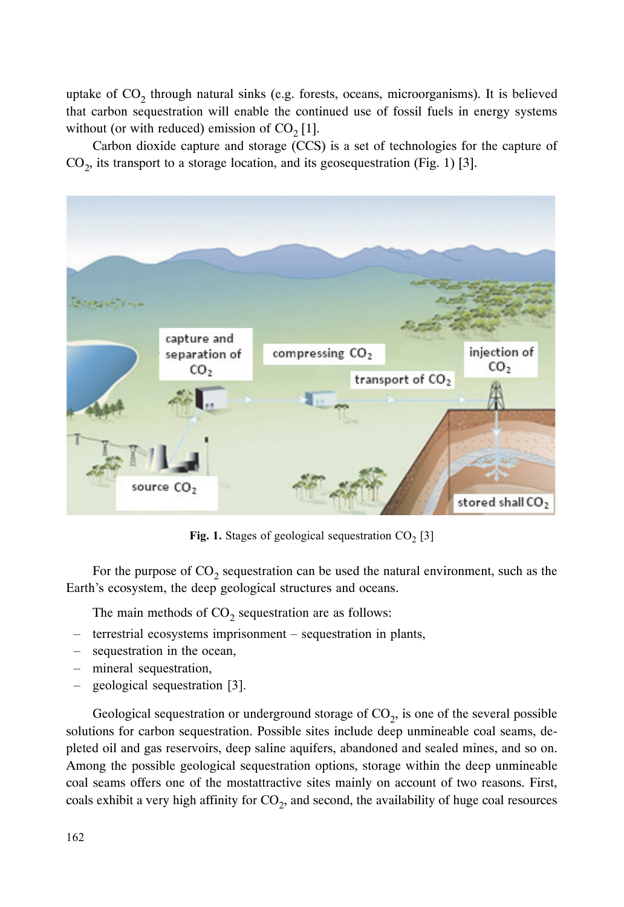uptake of  $CO<sub>2</sub>$  through natural sinks (e.g. forests, oceans, microorganisms). It is believed that carbon sequestration will enable the continued use of fossil fuels in energy systems without (or with reduced) emission of  $CO<sub>2</sub>$  [1].

Carbon dioxide capture and storage (CCS) is a set of technologies for the capture of  $CO<sub>2</sub>$ , its transport to a storage location, and its geosequestration (Fig. 1) [3].



**Fig. 1.** Stages of geological sequestration  $CO<sub>2</sub>$  [3]

For the purpose of  $CO<sub>2</sub>$  sequestration can be used the natural environment, such as the Earth's ecosystem, the deep geological structures and oceans.

The main methods of  $CO<sub>2</sub>$  sequestration are as follows:

- terrestrial ecosystems imprisonment sequestration in plants,
- sequestration in the ocean,
- mineral sequestration,
- geological sequestration [3].

Geological sequestration or underground storage of  $CO<sub>2</sub>$ , is one of the several possible solutions for carbon sequestration. Possible sites include deep unmineable coal seams, depleted oil and gas reservoirs, deep saline aquifers, abandoned and sealed mines, and so on. Among the possible geological sequestration options, storage within the deep unmineable coal seams offers one of the mostattractive sites mainly on account of two reasons. First, coals exhibit a very high affinity for  $CO<sub>2</sub>$ , and second, the availability of huge coal resources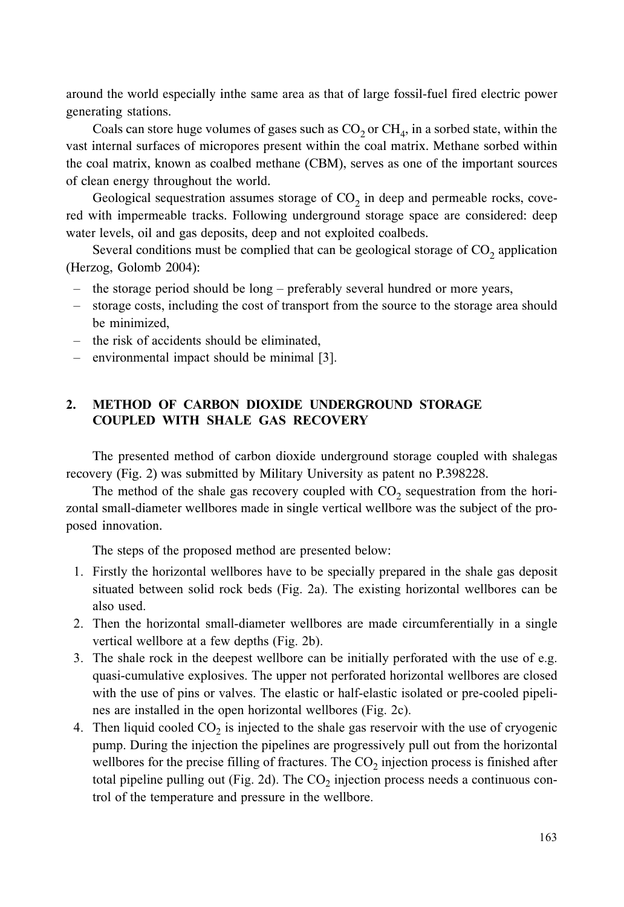around the world especially inthe same area as that of large fossil-fuel fired electric power generating stations.

Coals can store huge volumes of gases such as  $CO<sub>2</sub>$  or  $CH<sub>4</sub>$ , in a sorbed state, within the vast internal surfaces of micropores present within the coal matrix. Methane sorbed within the coal matrix, known as coalbed methane (CBM), serves as one of the important sources of clean energy throughout the world.

Geological sequestration assumes storage of  $CO<sub>2</sub>$  in deep and permeable rocks, covered with impermeable tracks. Following underground storage space are considered: deep water levels, oil and gas deposits, deep and not exploited coalbeds.

Several conditions must be complied that can be geological storage of  $CO<sub>2</sub>$  application (Herzog, Golomb 2004):

- the storage period should be long preferably several hundred or more years,
- storage costs, including the cost of transport from the source to the storage area should be minimized,
- the risk of accidents should be eliminated,
- environmental impact should be minimal [3].

## )-METHOD OF CARBON DIOXIDE UNDERGROUND STORAGE **COUPLED WITH SHALE GAS RECOVERY**

The presented method of carbon dioxide underground storage coupled with shalegas recovery (Fig. 2) was submitted by Military University as patent no P.398228.

The method of the shale gas recovery coupled with  $CO<sub>2</sub>$  sequestration from the horizontal small-diameter wellbores made in single vertical wellbore was the subject of the proposed innovation.

The steps of the proposed method are presented below:

- 1. Firstly the horizontal wellbores have to be specially prepared in the shale gas deposit situated between solid rock beds (Fig. 2a). The existing horizontal wellbores can be also used.
- 2. Then the horizontal small-diameter wellbores are made circumferentially in a single vertical wellbore at a few depths (Fig. 2b).
- 3. The shale rock in the deepest wellbore can be initially perforated with the use of e.g. quasi-cumulative explosives. The upper not perforated horizontal wellbores are closed with the use of pins or valves. The elastic or half-elastic isolated or pre-cooled pipelines are installed in the open horizontal wellbores (Fig. 2c).
- 4. Then liquid cooled  $CO<sub>2</sub>$  is injected to the shale gas reservoir with the use of cryogenic pump. During the injection the pipelines are progressively pull out from the horizontal wellbores for the precise filling of fractures. The  $CO_2$  injection process is finished after total pipeline pulling out (Fig. 2d). The  $CO_2$  injection process needs a continuous control of the temperature and pressure in the wellbore.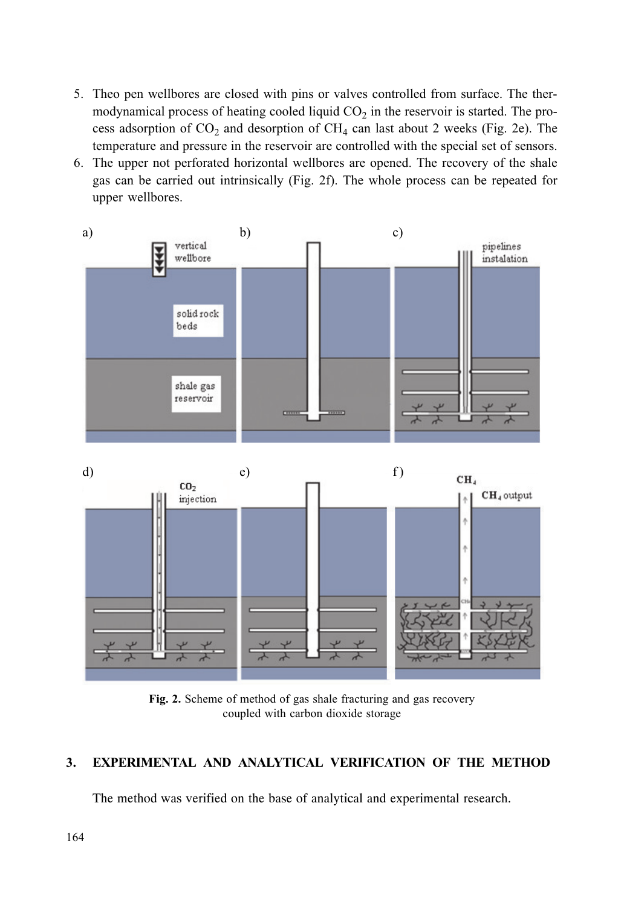- 5. Theo pen wellbores are closed with pins or valves controlled from surface. The thermodynamical process of heating cooled liquid  $CO<sub>2</sub>$  in the reservoir is started. The process adsorption of  $CO_2$  and desorption of  $CH_4$  can last about 2 weeks (Fig. 2e). The temperature and pressure in the reservoir are controlled with the special set of sensors.
- 6. The upper not perforated horizontal wellbores are opened. The recovery of the shale gas can be carried out intrinsically (Fig. 2f). The whole process can be repeated for upper wellbores.



Fig. 2. Scheme of method of gas shale fracturing and gas recovery coupled with carbon dioxide storage

#### $3.$ EXPERIMENTAL AND ANALYTICAL VERIFICATION OF THE METHOD

The method was verified on the base of analytical and experimental research.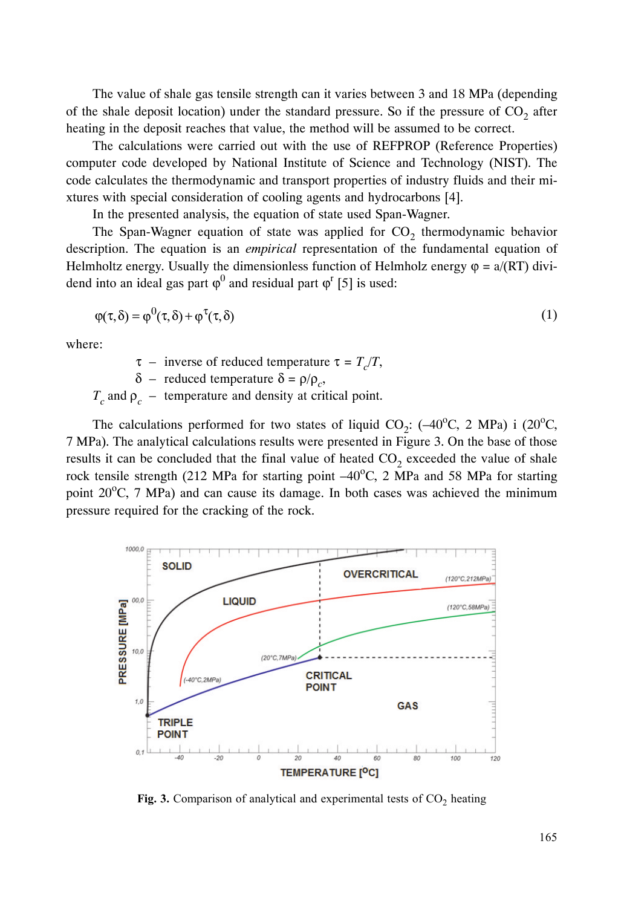The value of shale gas tensile strength can it varies between 3 and 18 MPa (depending of the shale deposit location) under the standard pressure. So if the pressure of  $CO<sub>2</sub>$  after heating in the deposit reaches that value, the method will be assumed to be correct.

The calculations were carried out with the use of REFPROP (Reference Properties) computer code developed by National Institute of Science and Technology (NIST). The code calculates the thermodynamic and transport properties of industry fluids and their mixtures with special consideration of cooling agents and hydrocarbons [4].

In the presented analysis, the equation of state used Span-Wagner.

The Span-Wagner equation of state was applied for  $CO<sub>2</sub>$  thermodynamic behavior description. The equation is an *empirical* representation of the fundamental equation of Helmholtz energy. Usually the dimensionless function of Helmholz energy  $\varphi = a/(RT)$  dividend into an ideal gas part  $\varphi^0$  and residual part  $\varphi^{\text{r}}$  [5] is used:

$$
\varphi(\tau,\delta) = \varphi^0(\tau,\delta) + \varphi^{\tau}(\tau,\delta)
$$
\n(1)

where:

τ – inverse of reduced temperature  $τ = T_c/T$ ,

δ – reduced temperature  $δ = ρ/ρ<sub>c</sub>$ ,

 $T_c$  and  $\rho_c$  – temperature and density at critical point.

The calculations performed for two states of liquid CO<sub>2</sub>:  $(-40^{\circ}C, 2 \text{ MPa})$  i  $(20^{\circ}C, 20^{\circ}C, 20^{\circ})$ 7 MPa). The analytical calculations results were presented in Figure 3. On the base of those results it can be concluded that the final value of heated  $CO<sub>2</sub>$  exceeded the value of shale rock tensile strength (212 MPa for starting point  $-40^{\circ}$ C, 2 MPa and 58 MPa for starting point  $20^{\circ}$ C, 7 MPa) and can cause its damage. In both cases was achieved the minimum pressure required for the cracking of the rock.



Fig. 3. Comparison of analytical and experimental tests of  $CO<sub>2</sub>$  heating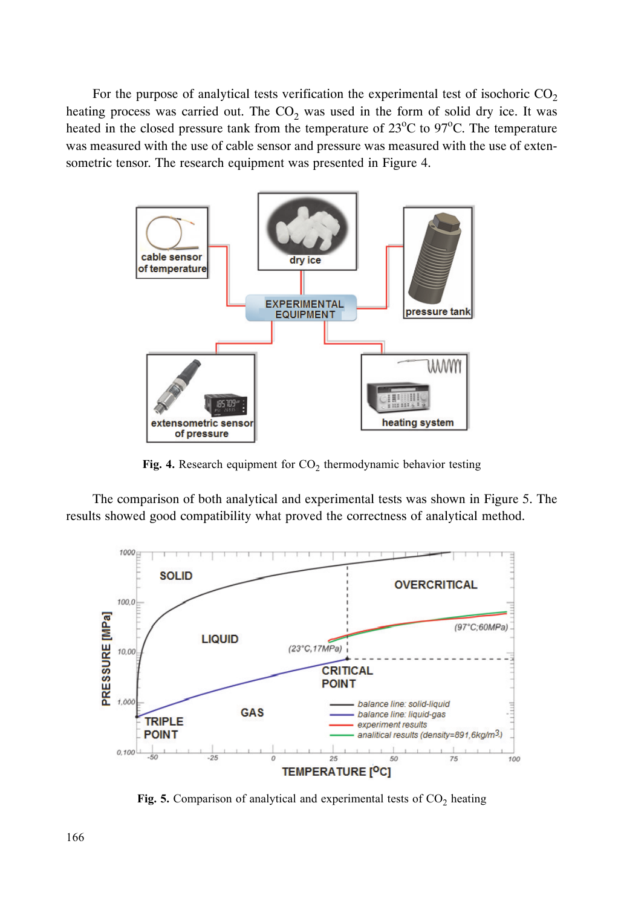heating process was carried out. The  $CO<sub>2</sub>$  was used in the form of solid dry ice. It was heated in the closed pressure tank from the temperature of  $23^{\circ}$ C to  $97^{\circ}$ C. The temperature was measured with the use of cable sensor and pressure was measured with the use of extensometric tensor. The research equipment was presented in Figure 4.



Fig. 4. Research equipment for  $CO<sub>2</sub>$  thermodynamic behavior testing

The comparison of both analytical and experimental tests was shown in Figure 5. The results showed good compatibility what proved the correctness of analytical method.



Fig. 5. Comparison of analytical and experimental tests of  $CO<sub>2</sub>$  heating